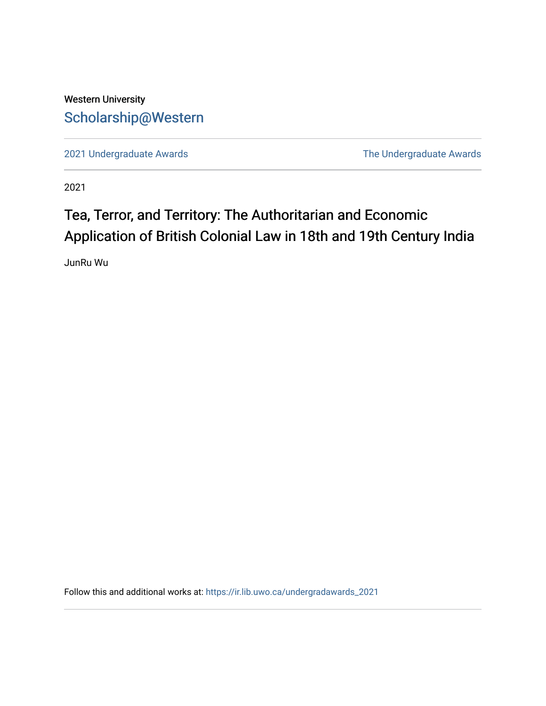## Western University [Scholarship@Western](https://ir.lib.uwo.ca/)

[2021 Undergraduate Awards](https://ir.lib.uwo.ca/undergradawards_2021) [The Undergraduate Awards](https://ir.lib.uwo.ca/ungradawards) 

2021

## Tea, Terror, and Territory: The Authoritarian and Economic Application of British Colonial Law in 18th and 19th Century India

JunRu Wu

Follow this and additional works at: [https://ir.lib.uwo.ca/undergradawards\\_2021](https://ir.lib.uwo.ca/undergradawards_2021?utm_source=ir.lib.uwo.ca%2Fundergradawards_2021%2F7&utm_medium=PDF&utm_campaign=PDFCoverPages)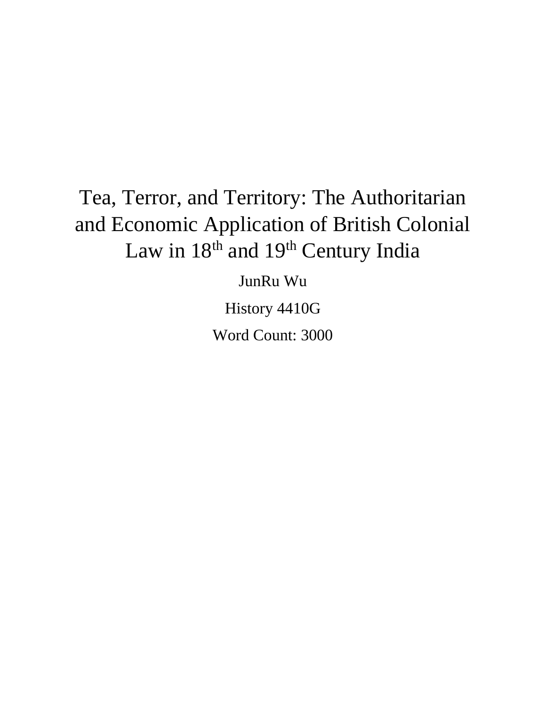## Tea, Terror, and Territory: The Authoritarian and Economic Application of British Colonial Law in  $18<sup>th</sup>$  and  $19<sup>th</sup>$  Century India

JunRu Wu

History 4410G Word Count: 3000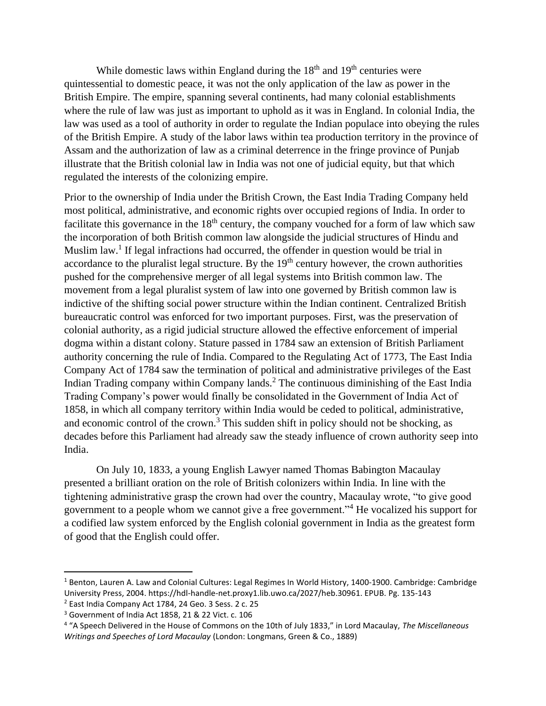While domestic laws within England during the  $18<sup>th</sup>$  and  $19<sup>th</sup>$  centuries were quintessential to domestic peace, it was not the only application of the law as power in the British Empire. The empire, spanning several continents, had many colonial establishments where the rule of law was just as important to uphold as it was in England. In colonial India, the law was used as a tool of authority in order to regulate the Indian populace into obeying the rules of the British Empire. A study of the labor laws within tea production territory in the province of Assam and the authorization of law as a criminal deterrence in the fringe province of Punjab illustrate that the British colonial law in India was not one of judicial equity, but that which regulated the interests of the colonizing empire.

Prior to the ownership of India under the British Crown, the East India Trading Company held most political, administrative, and economic rights over occupied regions of India. In order to facilitate this governance in the  $18<sup>th</sup>$  century, the company vouched for a form of law which saw the incorporation of both British common law alongside the judicial structures of Hindu and Muslim law.<sup>1</sup> If legal infractions had occurred, the offender in question would be trial in accordance to the pluralist legal structure. By the  $19<sup>th</sup>$  century however, the crown authorities pushed for the comprehensive merger of all legal systems into British common law. The movement from a legal pluralist system of law into one governed by British common law is indictive of the shifting social power structure within the Indian continent. Centralized British bureaucratic control was enforced for two important purposes. First, was the preservation of colonial authority, as a rigid judicial structure allowed the effective enforcement of imperial dogma within a distant colony. Stature passed in 1784 saw an extension of British Parliament authority concerning the rule of India. Compared to the Regulating Act of 1773, The East India Company Act of 1784 saw the termination of political and administrative privileges of the East Indian Trading company within Company lands.<sup>2</sup> The continuous diminishing of the East India Trading Company's power would finally be consolidated in the Government of India Act of 1858, in which all company territory within India would be ceded to political, administrative, and economic control of the crown.<sup>3</sup> This sudden shift in policy should not be shocking, as decades before this Parliament had already saw the steady influence of crown authority seep into India.

On July 10, 1833, a young English Lawyer named Thomas Babington Macaulay presented a brilliant oration on the role of British colonizers within India. In line with the tightening administrative grasp the crown had over the country, Macaulay wrote, "to give good government to a people whom we cannot give a free government."<sup>4</sup> He vocalized his support for a codified law system enforced by the English colonial government in India as the greatest form of good that the English could offer.

<sup>&</sup>lt;sup>1</sup> Benton, Lauren A. Law and Colonial Cultures: Legal Regimes In World History, 1400-1900. Cambridge: Cambridge University Press, 2004. https://hdl-handle-net.proxy1.lib.uwo.ca/2027/heb.30961. EPUB. Pg. 135-143

<sup>2</sup> East India Company Act 1784, 24 Geo. 3 Sess. 2 c. 25

<sup>3</sup> Government of India Act 1858, 21 & 22 Vict. c. 106

<sup>4</sup> "A Speech Delivered in the House of Commons on the 10th of July 1833," in Lord Macaulay, *The Miscellaneous Writings and Speeches of Lord Macaulay* (London: Longmans, Green & Co., 1889)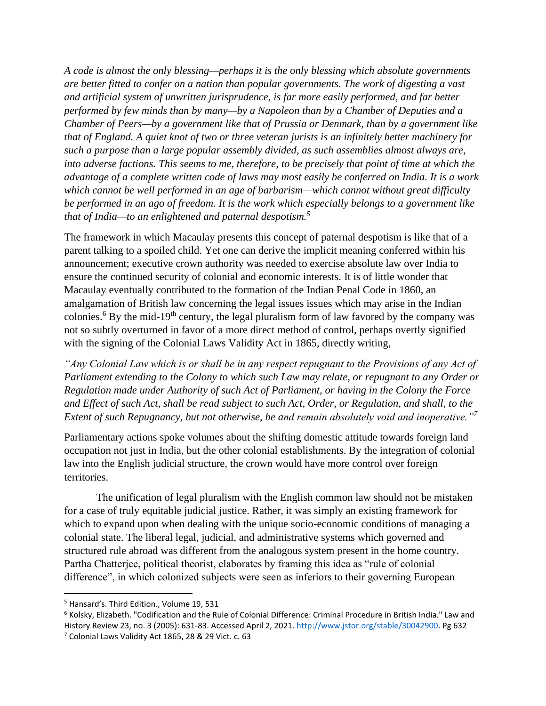*A code is almost the only blessing—perhaps it is the only blessing which absolute governments are better fitted to confer on a nation than popular governments. The work of digesting a vast and artificial system of unwritten jurisprudence, is far more easily performed, and far better performed by few minds than by many—by a Napoleon than by a Chamber of Deputies and a Chamber of Peers—by a government like that of Prussia or Denmark, than by a government like that of England. A quiet knot of two or three veteran jurists is an infinitely better machinery for such a purpose than a large popular assembly divided, as such assemblies almost always are, into adverse factions. This seems to me, therefore, to be precisely that point of time at which the advantage of a complete written code of laws may most easily be conferred on India. It is a work which cannot be well performed in an age of barbarism—which cannot without great difficulty be performed in an ago of freedom. It is the work which especially belongs to a government like that of India—to an enlightened and paternal despotism.<sup>5</sup>*

The framework in which Macaulay presents this concept of paternal despotism is like that of a parent talking to a spoiled child. Yet one can derive the implicit meaning conferred within his announcement; executive crown authority was needed to exercise absolute law over India to ensure the continued security of colonial and economic interests. It is of little wonder that Macaulay eventually contributed to the formation of the Indian Penal Code in 1860, an amalgamation of British law concerning the legal issues issues which may arise in the Indian colonies.<sup>6</sup> By the mid-19<sup>th</sup> century, the legal pluralism form of law favored by the company was not so subtly overturned in favor of a more direct method of control, perhaps overtly signified with the signing of the Colonial Laws Validity Act in 1865, directly writing,

*"Any Colonial Law which is or shall be in any respect repugnant to the Provisions of any Act of Parliament extending to the Colony to which such Law may relate, or repugnant to any Order or Regulation made under Authority of such Act of Parliament, or having in the Colony the Force and Effect of such Act, shall be read subject to such Act, Order, or Regulation, and shall, to the Extent of such Repugnancy, but not otherwise, be and remain absolutely void and inoperative."<sup>7</sup>*

Parliamentary actions spoke volumes about the shifting domestic attitude towards foreign land occupation not just in India, but the other colonial establishments. By the integration of colonial law into the English judicial structure, the crown would have more control over foreign territories.

The unification of legal pluralism with the English common law should not be mistaken for a case of truly equitable judicial justice. Rather, it was simply an existing framework for which to expand upon when dealing with the unique socio-economic conditions of managing a colonial state. The liberal legal, judicial, and administrative systems which governed and structured rule abroad was different from the analogous system present in the home country. Partha Chatterjee, political theorist, elaborates by framing this idea as "rule of colonial difference", in which colonized subjects were seen as inferiors to their governing European

<sup>&</sup>lt;sup>5</sup> Hansard's. Third Edition., Volume 19, 531

 $6$  Kolsky, Elizabeth. "Codification and the Rule of Colonial Difference: Criminal Procedure in British India." Law and History Review 23, no. 3 (2005): 631-83. Accessed April 2, 2021[. http://www.jstor.org/stable/30042900.](http://www.jstor.org/stable/30042900) Pg 632

<sup>7</sup> Colonial Laws Validity Act 1865, 28 & 29 Vict. c. 63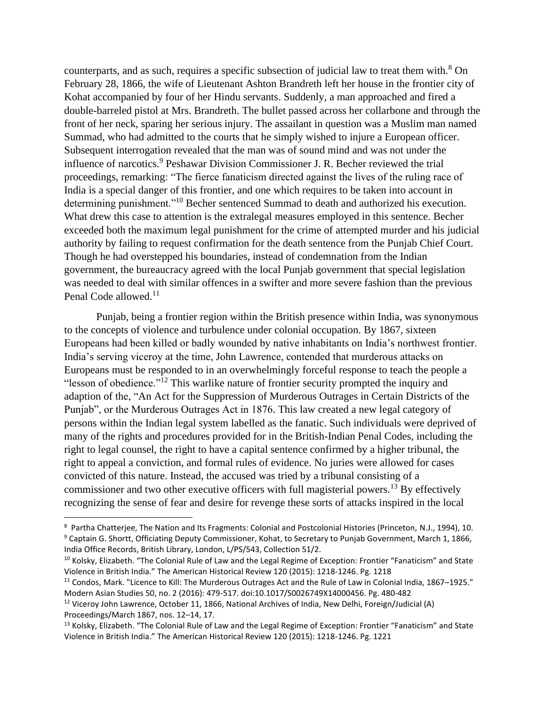counterparts, and as such, requires a specific subsection of judicial law to treat them with.<sup>8</sup> On February 28, 1866, the wife of Lieutenant Ashton Brandreth left her house in the frontier city of Kohat accompanied by four of her Hindu servants. Suddenly, a man approached and fired a double-barreled pistol at Mrs. Brandreth. The bullet passed across her collarbone and through the front of her neck, sparing her serious injury. The assailant in question was a Muslim man named Summad, who had admitted to the courts that he simply wished to injure a European officer. Subsequent interrogation revealed that the man was of sound mind and was not under the influence of narcotics.<sup>9</sup> Peshawar Division Commissioner J. R. Becher reviewed the trial proceedings, remarking: "The fierce fanaticism directed against the lives of the ruling race of India is a special danger of this frontier, and one which requires to be taken into account in determining punishment."<sup>10</sup> Becher sentenced Summad to death and authorized his execution. What drew this case to attention is the extralegal measures employed in this sentence. Becher exceeded both the maximum legal punishment for the crime of attempted murder and his judicial authority by failing to request confirmation for the death sentence from the Punjab Chief Court. Though he had overstepped his boundaries, instead of condemnation from the Indian government, the bureaucracy agreed with the local Punjab government that special legislation was needed to deal with similar offences in a swifter and more severe fashion than the previous Penal Code allowed.<sup>11</sup>

Punjab, being a frontier region within the British presence within India, was synonymous to the concepts of violence and turbulence under colonial occupation. By 1867, sixteen Europeans had been killed or badly wounded by native inhabitants on India's northwest frontier. India's serving viceroy at the time, John Lawrence, contended that murderous attacks on Europeans must be responded to in an overwhelmingly forceful response to teach the people a "lesson of obedience."<sup>12</sup> This warlike nature of frontier security prompted the inquiry and adaption of the, "An Act for the Suppression of Murderous Outrages in Certain Districts of the Punjab", or the Murderous Outrages Act in 1876. This law created a new legal category of persons within the Indian legal system labelled as the fanatic. Such individuals were deprived of many of the rights and procedures provided for in the British-Indian Penal Codes, including the right to legal counsel, the right to have a capital sentence confirmed by a higher tribunal, the right to appeal a conviction, and formal rules of evidence. No juries were allowed for cases convicted of this nature. Instead, the accused was tried by a tribunal consisting of a commissioner and two other executive officers with full magisterial powers.<sup>13</sup> By effectively recognizing the sense of fear and desire for revenge these sorts of attacks inspired in the local

<sup>8</sup> Partha Chatterjee, The Nation and Its Fragments: Colonial and Postcolonial Histories (Princeton, N.J., 1994), 10. <sup>9</sup> Captain G. Shortt, Officiating Deputy Commissioner, Kohat, to Secretary to Punjab Government, March 1, 1866, India Office Records, British Library, London, L/PS/543, Collection 51/2.

<sup>&</sup>lt;sup>10</sup> Kolsky, Elizabeth. "The Colonial Rule of Law and the Legal Regime of Exception: Frontier "Fanaticism" and State Violence in British India." The American Historical Review 120 (2015): 1218-1246. Pg. 1218

<sup>&</sup>lt;sup>11</sup> Condos, Mark. "Licence to Kill: The Murderous Outrages Act and the Rule of Law in Colonial India, 1867-1925." Modern Asian Studies 50, no. 2 (2016): 479-517. doi:10.1017/S0026749X14000456. Pg. 480-482

 $12$  Viceroy John Lawrence, October 11, 1866, National Archives of India, New Delhi, Foreign/Judicial (A) Proceedings/March 1867, nos. 12–14, 17.

<sup>&</sup>lt;sup>13</sup> Kolsky, Elizabeth. "The Colonial Rule of Law and the Legal Regime of Exception: Frontier "Fanaticism" and State Violence in British India." The American Historical Review 120 (2015): 1218-1246. Pg. 1221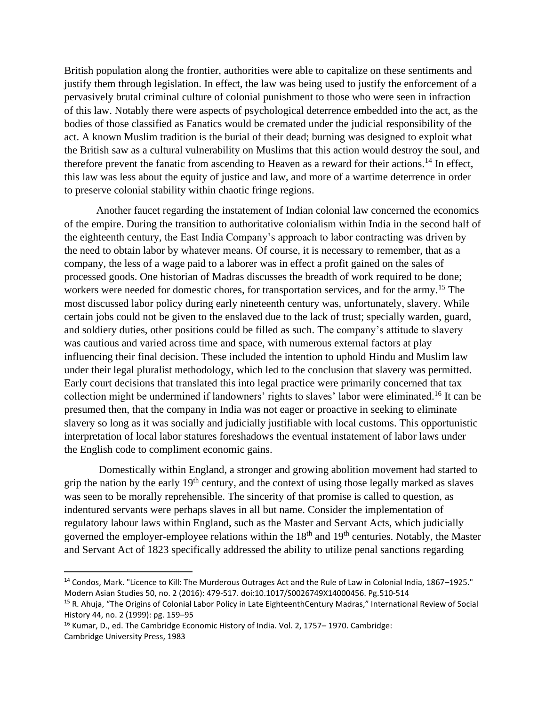British population along the frontier, authorities were able to capitalize on these sentiments and justify them through legislation. In effect, the law was being used to justify the enforcement of a pervasively brutal criminal culture of colonial punishment to those who were seen in infraction of this law. Notably there were aspects of psychological deterrence embedded into the act, as the bodies of those classified as Fanatics would be cremated under the judicial responsibility of the act. A known Muslim tradition is the burial of their dead; burning was designed to exploit what the British saw as a cultural vulnerability on Muslims that this action would destroy the soul, and therefore prevent the fanatic from ascending to Heaven as a reward for their actions.<sup>14</sup> In effect, this law was less about the equity of justice and law, and more of a wartime deterrence in order to preserve colonial stability within chaotic fringe regions.

Another faucet regarding the instatement of Indian colonial law concerned the economics of the empire. During the transition to authoritative colonialism within India in the second half of the eighteenth century, the East India Company's approach to labor contracting was driven by the need to obtain labor by whatever means. Of course, it is necessary to remember, that as a company, the less of a wage paid to a laborer was in effect a profit gained on the sales of processed goods. One historian of Madras discusses the breadth of work required to be done; workers were needed for domestic chores, for transportation services, and for the army.<sup>15</sup> The most discussed labor policy during early nineteenth century was, unfortunately, slavery. While certain jobs could not be given to the enslaved due to the lack of trust; specially warden, guard, and soldiery duties, other positions could be filled as such. The company's attitude to slavery was cautious and varied across time and space, with numerous external factors at play influencing their final decision. These included the intention to uphold Hindu and Muslim law under their legal pluralist methodology, which led to the conclusion that slavery was permitted. Early court decisions that translated this into legal practice were primarily concerned that tax collection might be undermined if landowners' rights to slaves' labor were eliminated. <sup>16</sup> It can be presumed then, that the company in India was not eager or proactive in seeking to eliminate slavery so long as it was socially and judicially justifiable with local customs. This opportunistic interpretation of local labor statures foreshadows the eventual instatement of labor laws under the English code to compliment economic gains.

Domestically within England, a stronger and growing abolition movement had started to grip the nation by the early  $19<sup>th</sup>$  century, and the context of using those legally marked as slaves was seen to be morally reprehensible. The sincerity of that promise is called to question, as indentured servants were perhaps slaves in all but name. Consider the implementation of regulatory labour laws within England, such as the Master and Servant Acts, which judicially governed the employer-employee relations within the  $18<sup>th</sup>$  and  $19<sup>th</sup>$  centuries. Notably, the Master and Servant Act of 1823 specifically addressed the ability to utilize penal sanctions regarding

<sup>&</sup>lt;sup>14</sup> Condos, Mark. "Licence to Kill: The Murderous Outrages Act and the Rule of Law in Colonial India, 1867–1925." Modern Asian Studies 50, no. 2 (2016): 479-517. doi:10.1017/S0026749X14000456. Pg.510-514

<sup>&</sup>lt;sup>15</sup> R. Ahuja, "The Origins of Colonial Labor Policy in Late EighteenthCentury Madras," International Review of Social History 44, no. 2 (1999): pg. 159–95

<sup>&</sup>lt;sup>16</sup> Kumar, D., ed. The Cambridge Economic History of India. Vol. 2, 1757–1970. Cambridge: Cambridge University Press, 1983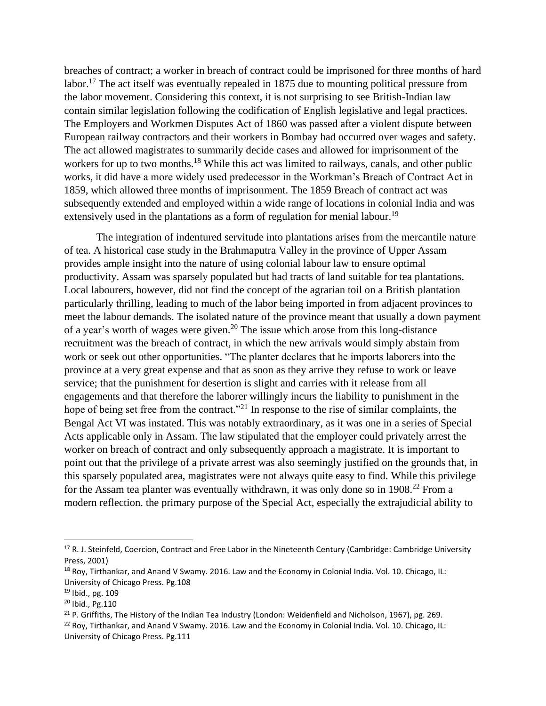breaches of contract; a worker in breach of contract could be imprisoned for three months of hard labor.<sup>17</sup> The act itself was eventually repealed in 1875 due to mounting political pressure from the labor movement. Considering this context, it is not surprising to see British-Indian law contain similar legislation following the codification of English legislative and legal practices. The Employers and Workmen Disputes Act of 1860 was passed after a violent dispute between European railway contractors and their workers in Bombay had occurred over wages and safety. The act allowed magistrates to summarily decide cases and allowed for imprisonment of the workers for up to two months.<sup>18</sup> While this act was limited to railways, canals, and other public works, it did have a more widely used predecessor in the Workman's Breach of Contract Act in 1859, which allowed three months of imprisonment. The 1859 Breach of contract act was subsequently extended and employed within a wide range of locations in colonial India and was extensively used in the plantations as a form of regulation for menial labour.<sup>19</sup>

The integration of indentured servitude into plantations arises from the mercantile nature of tea. A historical case study in the Brahmaputra Valley in the province of Upper Assam provides ample insight into the nature of using colonial labour law to ensure optimal productivity. Assam was sparsely populated but had tracts of land suitable for tea plantations. Local labourers, however, did not find the concept of the agrarian toil on a British plantation particularly thrilling, leading to much of the labor being imported in from adjacent provinces to meet the labour demands. The isolated nature of the province meant that usually a down payment of a year's worth of wages were given.<sup>20</sup> The issue which arose from this long-distance recruitment was the breach of contract, in which the new arrivals would simply abstain from work or seek out other opportunities. "The planter declares that he imports laborers into the province at a very great expense and that as soon as they arrive they refuse to work or leave service; that the punishment for desertion is slight and carries with it release from all engagements and that therefore the laborer willingly incurs the liability to punishment in the hope of being set free from the contract."<sup>21</sup> In response to the rise of similar complaints, the Bengal Act VI was instated. This was notably extraordinary, as it was one in a series of Special Acts applicable only in Assam. The law stipulated that the employer could privately arrest the worker on breach of contract and only subsequently approach a magistrate. It is important to point out that the privilege of a private arrest was also seemingly justified on the grounds that, in this sparsely populated area, magistrates were not always quite easy to find. While this privilege for the Assam tea planter was eventually withdrawn, it was only done so in  $1908<sup>22</sup>$  From a modern reflection. the primary purpose of the Special Act, especially the extrajudicial ability to

<sup>&</sup>lt;sup>17</sup> R. J. Steinfeld, Coercion, Contract and Free Labor in the Nineteenth Century (Cambridge: Cambridge University Press, 2001)

 $18$  Roy, Tirthankar, and Anand V Swamy. 2016. Law and the Economy in Colonial India. Vol. 10. Chicago, IL: University of Chicago Press. Pg.108

<sup>19</sup> Ibid., pg. 109

<sup>20</sup> Ibid., Pg.110

<sup>&</sup>lt;sup>21</sup> P. Griffiths, The History of the Indian Tea Industry (London: Weidenfield and Nicholson, 1967), pg. 269. <sup>22</sup> Roy, Tirthankar, and Anand V Swamy. 2016. Law and the Economy in Colonial India. Vol. 10. Chicago, IL: University of Chicago Press. Pg.111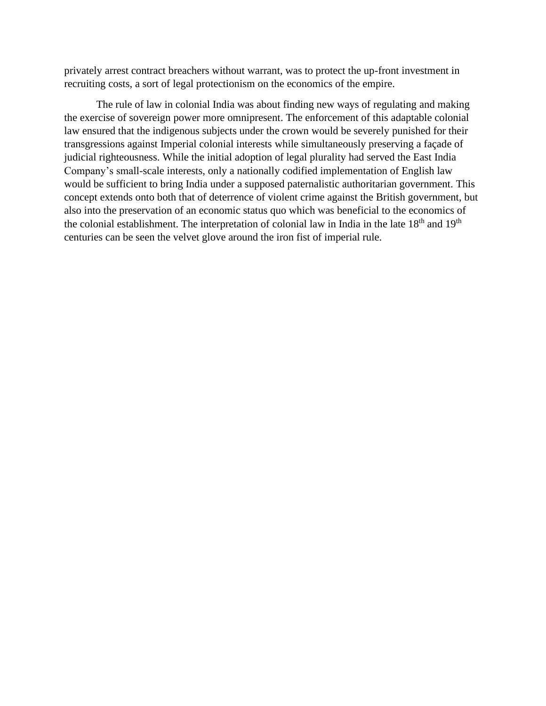privately arrest contract breachers without warrant, was to protect the up-front investment in recruiting costs, a sort of legal protectionism on the economics of the empire.

The rule of law in colonial India was about finding new ways of regulating and making the exercise of sovereign power more omnipresent. The enforcement of this adaptable colonial law ensured that the indigenous subjects under the crown would be severely punished for their transgressions against Imperial colonial interests while simultaneously preserving a façade of judicial righteousness. While the initial adoption of legal plurality had served the East India Company's small-scale interests, only a nationally codified implementation of English law would be sufficient to bring India under a supposed paternalistic authoritarian government. This concept extends onto both that of deterrence of violent crime against the British government, but also into the preservation of an economic status quo which was beneficial to the economics of the colonial establishment. The interpretation of colonial law in India in the late 18<sup>th</sup> and 19<sup>th</sup> centuries can be seen the velvet glove around the iron fist of imperial rule.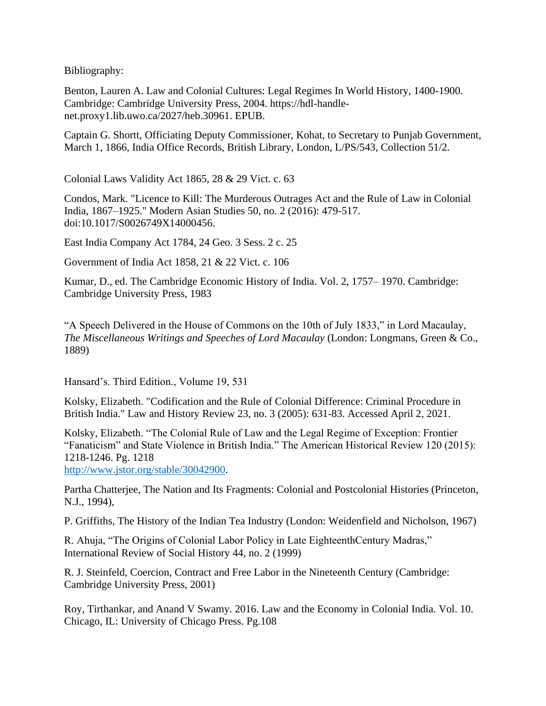Bibliography:

Benton, Lauren A. Law and Colonial Cultures: Legal Regimes In World History, 1400-1900. Cambridge: Cambridge University Press, 2004. https://hdl-handlenet.proxy1.lib.uwo.ca/2027/heb.30961. EPUB.

Captain G. Shortt, Officiating Deputy Commissioner, Kohat, to Secretary to Punjab Government, March 1, 1866, India Office Records, British Library, London, L/PS/543, Collection 51/2.

Colonial Laws Validity Act 1865, 28 & 29 Vict. c. 63

Condos, Mark. "Licence to Kill: The Murderous Outrages Act and the Rule of Law in Colonial India, 1867–1925." Modern Asian Studies 50, no. 2 (2016): 479-517. doi:10.1017/S0026749X14000456.

East India Company Act 1784, 24 Geo. 3 Sess. 2 c. 25

Government of India Act 1858, 21 & 22 Vict. c. 106

Kumar, D., ed. The Cambridge Economic History of India. Vol. 2, 1757– 1970. Cambridge: Cambridge University Press, 1983

"A Speech Delivered in the House of Commons on the 10th of July 1833," in Lord Macaulay, *The Miscellaneous Writings and Speeches of Lord Macaulay* (London: Longmans, Green & Co., 1889)

Hansard's. Third Edition., Volume 19, 531

Kolsky, Elizabeth. "Codification and the Rule of Colonial Difference: Criminal Procedure in British India." Law and History Review 23, no. 3 (2005): 631-83. Accessed April 2, 2021.

Kolsky, Elizabeth. "The Colonial Rule of Law and the Legal Regime of Exception: Frontier "Fanaticism" and State Violence in British India." The American Historical Review 120 (2015): 1218-1246. Pg. 1218

[http://www.jstor.org/stable/30042900.](http://www.jstor.org/stable/30042900)

Partha Chatterjee, The Nation and Its Fragments: Colonial and Postcolonial Histories (Princeton, N.J., 1994),

P. Griffiths, The History of the Indian Tea Industry (London: Weidenfield and Nicholson, 1967)

R. Ahuja, "The Origins of Colonial Labor Policy in Late EighteenthCentury Madras," International Review of Social History 44, no. 2 (1999)

R. J. Steinfeld, Coercion, Contract and Free Labor in the Nineteenth Century (Cambridge: Cambridge University Press, 2001)

Roy, Tirthankar, and Anand V Swamy. 2016. Law and the Economy in Colonial India. Vol. 10. Chicago, IL: University of Chicago Press. Pg.108